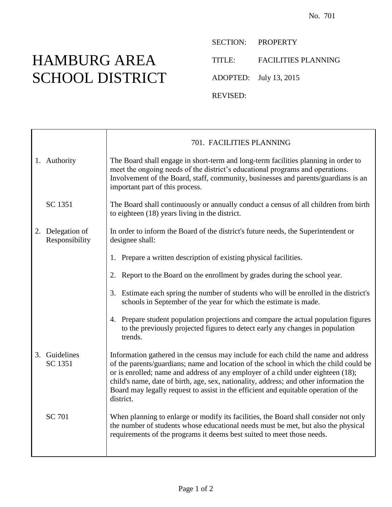## HAMBURG AREA SCHOOL DISTRICT

SECTION: PROPERTY TITLE: FACILITIES PLANNING

ADOPTED: July 13, 2015

REVISED:

|                                    | 701. FACILITIES PLANNING                                                                                                                                                                                                                                                                                                                                                                                                                                      |
|------------------------------------|---------------------------------------------------------------------------------------------------------------------------------------------------------------------------------------------------------------------------------------------------------------------------------------------------------------------------------------------------------------------------------------------------------------------------------------------------------------|
| 1. Authority                       | The Board shall engage in short-term and long-term facilities planning in order to<br>meet the ongoing needs of the district's educational programs and operations.<br>Involvement of the Board, staff, community, businesses and parents/guardians is an<br>important part of this process.                                                                                                                                                                  |
| SC 1351                            | The Board shall continuously or annually conduct a census of all children from birth<br>to eighteen (18) years living in the district.                                                                                                                                                                                                                                                                                                                        |
| 2. Delegation of<br>Responsibility | In order to inform the Board of the district's future needs, the Superintendent or<br>designee shall:                                                                                                                                                                                                                                                                                                                                                         |
|                                    | Prepare a written description of existing physical facilities.<br>1.                                                                                                                                                                                                                                                                                                                                                                                          |
|                                    | Report to the Board on the enrollment by grades during the school year.<br>2.                                                                                                                                                                                                                                                                                                                                                                                 |
|                                    | 3. Estimate each spring the number of students who will be enrolled in the district's<br>schools in September of the year for which the estimate is made.                                                                                                                                                                                                                                                                                                     |
|                                    | 4. Prepare student population projections and compare the actual population figures<br>to the previously projected figures to detect early any changes in population<br>trends.                                                                                                                                                                                                                                                                               |
| 3. Guidelines<br>SC 1351           | Information gathered in the census may include for each child the name and address<br>of the parents/guardians; name and location of the school in which the child could be<br>or is enrolled; name and address of any employer of a child under eighteen (18);<br>child's name, date of birth, age, sex, nationality, address; and other information the<br>Board may legally request to assist in the efficient and equitable operation of the<br>district. |
| <b>SC 701</b>                      | When planning to enlarge or modify its facilities, the Board shall consider not only<br>the number of students whose educational needs must be met, but also the physical<br>requirements of the programs it deems best suited to meet those needs.                                                                                                                                                                                                           |